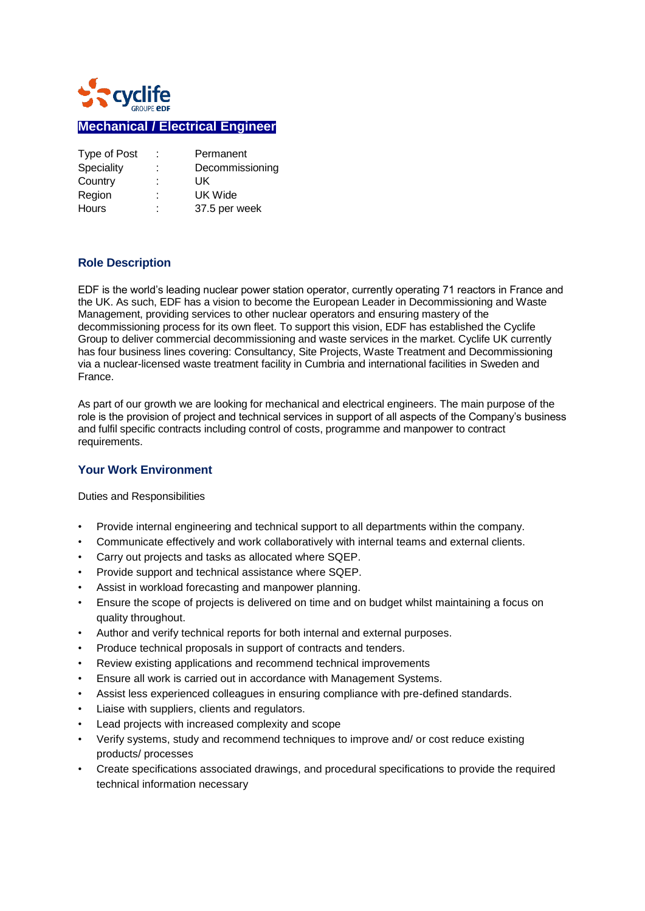

# **Mechanical / Electrical Engineer**

| Type of Post | ÷.     | Permanent       |
|--------------|--------|-----------------|
| Speciality   | ÷      | Decommissioning |
| Country      | ٠<br>٠ | UK              |
| Region       | t.     | UK Wide         |
| <b>Hours</b> | ٠<br>٠ | 37.5 per week   |

#### **Role Description**

EDF is the world's leading nuclear power station operator, currently operating 71 reactors in France and the UK. As such, EDF has a vision to become the European Leader in Decommissioning and Waste Management, providing services to other nuclear operators and ensuring mastery of the decommissioning process for its own fleet. To support this vision, EDF has established the Cyclife Group to deliver commercial decommissioning and waste services in the market. Cyclife UK currently has four business lines covering: Consultancy, Site Projects, Waste Treatment and Decommissioning via a nuclear-licensed waste treatment facility in Cumbria and international facilities in Sweden and France.

As part of our growth we are looking for mechanical and electrical engineers. The main purpose of the role is the provision of project and technical services in support of all aspects of the Company's business and fulfil specific contracts including control of costs, programme and manpower to contract requirements.

### **Your Work Environment**

Duties and Responsibilities

- Provide internal engineering and technical support to all departments within the company.
- Communicate effectively and work collaboratively with internal teams and external clients.
- Carry out projects and tasks as allocated where SQEP.
- Provide support and technical assistance where SQEP.
- Assist in workload forecasting and manpower planning.
- Ensure the scope of projects is delivered on time and on budget whilst maintaining a focus on quality throughout.
- Author and verify technical reports for both internal and external purposes.
- Produce technical proposals in support of contracts and tenders.
- Review existing applications and recommend technical improvements
- Ensure all work is carried out in accordance with Management Systems.
- Assist less experienced colleagues in ensuring compliance with pre-defined standards.
- Liaise with suppliers, clients and regulators.
- Lead projects with increased complexity and scope
- Verify systems, study and recommend techniques to improve and/ or cost reduce existing products/ processes
- Create specifications associated drawings, and procedural specifications to provide the required technical information necessary